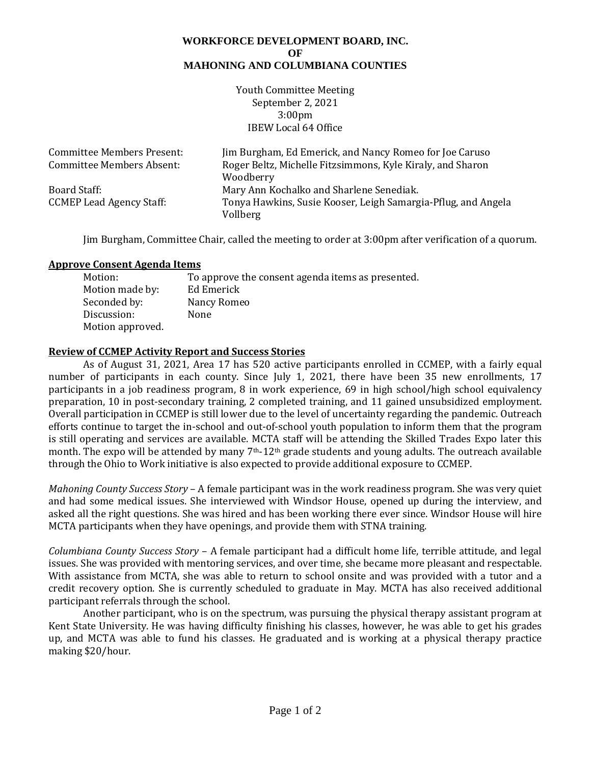#### **WORKFORCE DEVELOPMENT BOARD, INC. OF MAHONING AND COLUMBIANA COUNTIES**

Youth Committee Meeting September 2, 2021 3:00pm IBEW Local 64 Office

| <b>Committee Members Present:</b> | Jim Burgham, Ed Emerick, and Nancy Romeo for Joe Caruso       |
|-----------------------------------|---------------------------------------------------------------|
| <b>Committee Members Absent:</b>  | Roger Beltz, Michelle Fitzsimmons, Kyle Kiraly, and Sharon    |
|                                   | Woodberry                                                     |
| Board Staff:                      | Mary Ann Kochalko and Sharlene Senediak.                      |
| <b>CCMEP Lead Agency Staff:</b>   | Tonya Hawkins, Susie Kooser, Leigh Samargia-Pflug, and Angela |
|                                   | Vollberg                                                      |

Jim Burgham, Committee Chair, called the meeting to order at 3:00pm after verification of a quorum.

#### **Approve Consent Agenda Items**

| Motion:          | To approve the consent agenda items as presented. |
|------------------|---------------------------------------------------|
| Motion made by:  | Ed Emerick                                        |
| Seconded by:     | Nancy Romeo                                       |
| Discussion:      | None                                              |
| Motion approved. |                                                   |

## **Review of CCMEP Activity Report and Success Stories**

As of August 31, 2021, Area 17 has 520 active participants enrolled in CCMEP, with a fairly equal number of participants in each county. Since July 1, 2021, there have been 35 new enrollments, 17 participants in a job readiness program, 8 in work experience, 69 in high school/high school equivalency preparation, 10 in post-secondary training, 2 completed training, and 11 gained unsubsidized employment. Overall participation in CCMEP is still lower due to the level of uncertainty regarding the pandemic. Outreach efforts continue to target the in-school and out-of-school youth population to inform them that the program is still operating and services are available. MCTA staff will be attending the Skilled Trades Expo later this month. The expo will be attended by many 7<sup>th</sup>-12<sup>th</sup> grade students and young adults. The outreach available through the Ohio to Work initiative is also expected to provide additional exposure to CCMEP.

*Mahoning County Success Story* – A female participant was in the work readiness program. She was very quiet and had some medical issues. She interviewed with Windsor House, opened up during the interview, and asked all the right questions. She was hired and has been working there ever since. Windsor House will hire MCTA participants when they have openings, and provide them with STNA training.

*Columbiana County Success Story* – A female participant had a difficult home life, terrible attitude, and legal issues. She was provided with mentoring services, and over time, she became more pleasant and respectable. With assistance from MCTA, she was able to return to school onsite and was provided with a tutor and a credit recovery option. She is currently scheduled to graduate in May. MCTA has also received additional participant referrals through the school.

Another participant, who is on the spectrum, was pursuing the physical therapy assistant program at Kent State University. He was having difficulty finishing his classes, however, he was able to get his grades up, and MCTA was able to fund his classes. He graduated and is working at a physical therapy practice making \$20/hour.